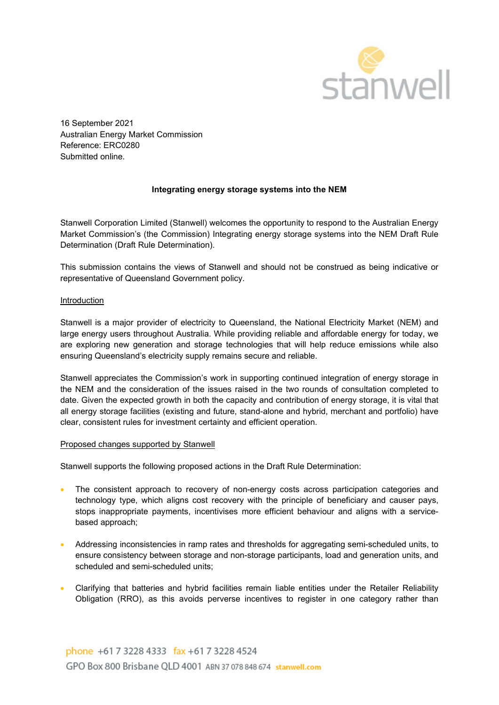

16 September 2021 Australian Energy Market Commission Reference: ERC0280 Submitted online.

## Integrating energy storage systems into the NEM

Stanwell Corporation Limited (Stanwell) welcomes the opportunity to respond to the Australian Energy Market Commission's (the Commission) Integrating energy storage systems into the NEM Draft Rule Determination (Draft Rule Determination).

This submission contains the views of Stanwell and should not be construed as being indicative or representative of Queensland Government policy.

## Introduction

Stanwell is a major provider of electricity to Queensland, the National Electricity Market (NEM) and large energy users throughout Australia. While providing reliable and affordable energy for today, we are exploring new generation and storage technologies that will help reduce emissions while also ensuring Queensland's electricity supply remains secure and reliable.

Stanwell appreciates the Commission's work in supporting continued integration of energy storage in the NEM and the consideration of the issues raised in the two rounds of consultation completed to date. Given the expected growth in both the capacity and contribution of energy storage, it is vital that all energy storage facilities (existing and future, stand-alone and hybrid, merchant and portfolio) have clear, consistent rules for investment certainty and efficient operation.

## Proposed changes supported by Stanwell

Stanwell supports the following proposed actions in the Draft Rule Determination:

- The consistent approach to recovery of non-energy costs across participation categories and technology type, which aligns cost recovery with the principle of beneficiary and causer pays, stops inappropriate payments, incentivises more efficient behaviour and aligns with a servicebased approach;
- Addressing inconsistencies in ramp rates and thresholds for aggregating semi-scheduled units, to ensure consistency between storage and non-storage participants, load and generation units, and scheduled and semi-scheduled units;
- Clarifying that batteries and hybrid facilities remain liable entities under the Retailer Reliability Obligation (RRO), as this avoids perverse incentives to register in one category rather than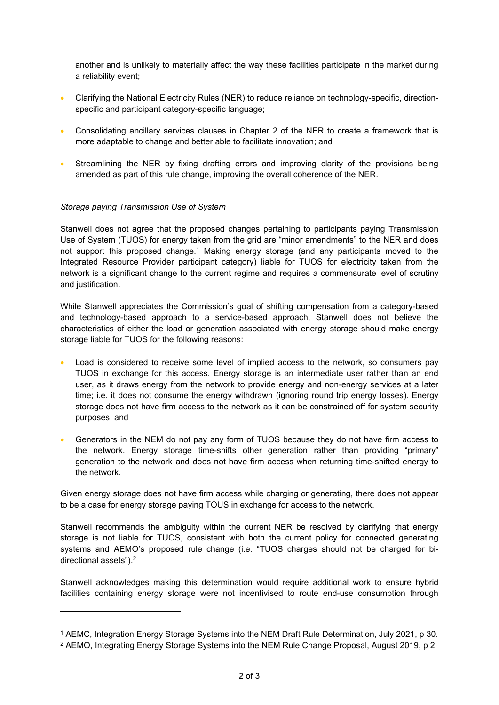another and is unlikely to materially affect the way these facilities participate in the market during a reliability event;

- Clarifying the National Electricity Rules (NER) to reduce reliance on technology-specific, directionspecific and participant category-specific language;
- Consolidating ancillary services clauses in Chapter 2 of the NER to create a framework that is more adaptable to change and better able to facilitate innovation; and
- Streamlining the NER by fixing drafting errors and improving clarity of the provisions being amended as part of this rule change, improving the overall coherence of the NER.

## Storage paying Transmission Use of System

Stanwell does not agree that the proposed changes pertaining to participants paying Transmission Use of System (TUOS) for energy taken from the grid are "minor amendments" to the NER and does not support this proposed change.<sup>1</sup> Making energy storage (and any participants moved to the Integrated Resource Provider participant category) liable for TUOS for electricity taken from the network is a significant change to the current regime and requires a commensurate level of scrutiny and justification.

While Stanwell appreciates the Commission's goal of shifting compensation from a category-based and technology-based approach to a service-based approach, Stanwell does not believe the characteristics of either the load or generation associated with energy storage should make energy storage liable for TUOS for the following reasons:

- Load is considered to receive some level of implied access to the network, so consumers pay TUOS in exchange for this access. Energy storage is an intermediate user rather than an end user, as it draws energy from the network to provide energy and non-energy services at a later time; i.e. it does not consume the energy withdrawn (ignoring round trip energy losses). Energy storage does not have firm access to the network as it can be constrained off for system security purposes; and
- Generators in the NEM do not pay any form of TUOS because they do not have firm access to the network. Energy storage time-shifts other generation rather than providing "primary" generation to the network and does not have firm access when returning time-shifted energy to the network.

Given energy storage does not have firm access while charging or generating, there does not appear to be a case for energy storage paying TOUS in exchange for access to the network.

Stanwell recommends the ambiguity within the current NER be resolved by clarifying that energy storage is not liable for TUOS, consistent with both the current policy for connected generating systems and AEMO's proposed rule change (i.e. "TUOS charges should not be charged for bidirectional assets").<sup>2</sup>

Stanwell acknowledges making this determination would require additional work to ensure hybrid facilities containing energy storage were not incentivised to route end-use consumption through

<sup>1</sup> AEMC, Integration Energy Storage Systems into the NEM Draft Rule Determination, July 2021, p 30. 2 AEMO, Integrating Energy Storage Systems into the NEM Rule Change Proposal, August 2019, p 2.